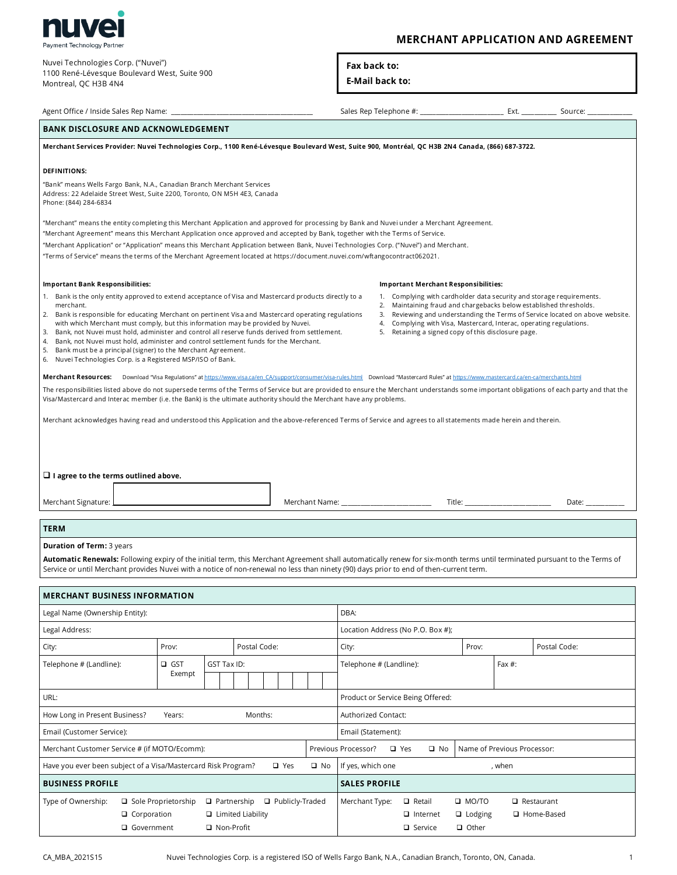

# Nuvei Technologies Corp. ("Nuvei")

1100 René-Lévesque Boulevard West, Suite 900 Montreal, QC H3B 4N4

# **MERCHANT APPLICATION AND AGREEMENT**

Fax back to:

### **E-Mail back to:**

| Agent Office / Inside Sales Rep Name: _                                                                                                                                                                                                                                                                                                                                                                                                                                                                                                                                                                                                                                                                                              |                                                                                                                                                     |             |  |              | Sales Rep Telephone #: __________________________________ Ext. _____ |                                                                                                                                                                                                                                                                                                                                                           |                |                                      | Source:                              |       |              |              |  |
|--------------------------------------------------------------------------------------------------------------------------------------------------------------------------------------------------------------------------------------------------------------------------------------------------------------------------------------------------------------------------------------------------------------------------------------------------------------------------------------------------------------------------------------------------------------------------------------------------------------------------------------------------------------------------------------------------------------------------------------|-----------------------------------------------------------------------------------------------------------------------------------------------------|-------------|--|--------------|----------------------------------------------------------------------|-----------------------------------------------------------------------------------------------------------------------------------------------------------------------------------------------------------------------------------------------------------------------------------------------------------------------------------------------------------|----------------|--------------------------------------|--------------------------------------|-------|--------------|--------------|--|
| <b>BANK DISCLOSURE AND ACKNOWLEDGEMENT</b>                                                                                                                                                                                                                                                                                                                                                                                                                                                                                                                                                                                                                                                                                           |                                                                                                                                                     |             |  |              |                                                                      |                                                                                                                                                                                                                                                                                                                                                           |                |                                      |                                      |       |              |              |  |
| Merchant Services Provider: Nuvei Technologies Corp., 1100 René-Lévesque Boulevard West, Suite 900, Montréal, QC H3B 2N4 Canada, (866) 687-3722.                                                                                                                                                                                                                                                                                                                                                                                                                                                                                                                                                                                     |                                                                                                                                                     |             |  |              |                                                                      |                                                                                                                                                                                                                                                                                                                                                           |                |                                      |                                      |       |              |              |  |
| <b>DEFINITIONS:</b><br>Phone: (844) 284-6834                                                                                                                                                                                                                                                                                                                                                                                                                                                                                                                                                                                                                                                                                         | "Bank" means Wells Fargo Bank, N.A., Canadian Branch Merchant Services<br>Address: 22 Adelaide Street West, Suite 2200, Toronto, ON M5H 4E3, Canada |             |  |              |                                                                      |                                                                                                                                                                                                                                                                                                                                                           |                |                                      |                                      |       |              |              |  |
| "Merchant" means the entity completing this Merchant Application and approved for processing by Bank and Nuvei under a Merchant Agreement.<br>"Merchant Agreement" means this Merchant Application once approved and accepted by Bank, together with the Terms of Service.<br>"Merchant Application" or "Application" means this Merchant Application between Bank, Nuvei Technologies Corp. ("Nuvei") and Merchant.<br>"Terms of Service" means the terms of the Merchant Agreement located at https://document.nuvei.com/wftangocontract062021.                                                                                                                                                                                    |                                                                                                                                                     |             |  |              |                                                                      |                                                                                                                                                                                                                                                                                                                                                           |                |                                      |                                      |       |              |              |  |
| <b>Important Bank Responsibilities:</b>                                                                                                                                                                                                                                                                                                                                                                                                                                                                                                                                                                                                                                                                                              |                                                                                                                                                     |             |  |              |                                                                      |                                                                                                                                                                                                                                                                                                                                                           |                |                                      | Important Merchant Responsibilities: |       |              |              |  |
| 1. Bank is the only entity approved to extend acceptance of Visa and Mastercard products directly to a<br>merchant.<br>2. Bank is responsible for educating Merchant on pertinent Visa and Mastercard operating regulations<br>with which Merchant must comply, but this information may be provided by Nuvei.<br>3. Bank, not Nuvei must hold, administer and control all reserve funds derived from settlement.<br>Bank, not Nuvei must hold, administer and control settlement funds for the Merchant.<br>4.<br>5. Bank must be a principal (signer) to the Merchant Agreement.<br>6. Nuvei Technologies Corp. is a Registered MSP/ISO of Bank.                                                                                   |                                                                                                                                                     |             |  |              |                                                                      | 1. Complying with cardholder data security and storage requirements.<br>2. Maintaining fraud and chargebacks below established thresholds.<br>3. Reviewing and understanding the Terms of Service located on above website.<br>4. Complying with Visa, Mastercard, Interac, operating regulations.<br>5. Retaining a signed copy of this disclosure page. |                |                                      |                                      |       |              |              |  |
| Merchant Resources: Download "Visa Regulations" at https://www.visa.ca/en CA/support/consumer/visa-rules.html Download "Mastercard Rules" at https://www.mastercard.ca/en-ca/merchants.html<br>The responsibilities listed above do not supersede terms of the Terms of Service but are provided to ensure the Merchant understands some important obligations of each party and that the<br>Visa/Mastercard and Interac member (i.e. the Bank) is the ultimate authority should the Merchant have any problems.<br>Merchant acknowledges having read and understood this Application and the above-referenced Terms of Service and agrees to all statements made herein and therein.<br>$\Box$ I agree to the terms outlined above. |                                                                                                                                                     |             |  |              |                                                                      |                                                                                                                                                                                                                                                                                                                                                           |                |                                      |                                      |       |              |              |  |
| Merchant Signature: L                                                                                                                                                                                                                                                                                                                                                                                                                                                                                                                                                                                                                                                                                                                |                                                                                                                                                     |             |  |              |                                                                      |                                                                                                                                                                                                                                                                                                                                                           | Merchant Name: | Title:                               |                                      |       | Date: $\_\_$ |              |  |
| <b>TERM</b>                                                                                                                                                                                                                                                                                                                                                                                                                                                                                                                                                                                                                                                                                                                          |                                                                                                                                                     |             |  |              |                                                                      |                                                                                                                                                                                                                                                                                                                                                           |                |                                      |                                      |       |              |              |  |
| <b>Duration of Term: 3 years</b><br>Automatic Renewals: Following expiry of the initial term, this Merchant Agreement shall automatically renew for six-month terms until terminated pursuant to the Terms of<br>Service or until Merchant provides Nuvei with a notice of non-renewal no less than ninety (90) days prior to end of then-current term.                                                                                                                                                                                                                                                                                                                                                                              |                                                                                                                                                     |             |  |              |                                                                      |                                                                                                                                                                                                                                                                                                                                                           |                |                                      |                                      |       |              |              |  |
| <b>MERCHANT BUSINESS INFORMATION</b>                                                                                                                                                                                                                                                                                                                                                                                                                                                                                                                                                                                                                                                                                                 |                                                                                                                                                     |             |  |              |                                                                      |                                                                                                                                                                                                                                                                                                                                                           |                |                                      |                                      |       |              |              |  |
| Legal Name (Ownership Entity):                                                                                                                                                                                                                                                                                                                                                                                                                                                                                                                                                                                                                                                                                                       |                                                                                                                                                     |             |  |              |                                                                      |                                                                                                                                                                                                                                                                                                                                                           | DBA:           |                                      |                                      |       |              |              |  |
| Legal Address:                                                                                                                                                                                                                                                                                                                                                                                                                                                                                                                                                                                                                                                                                                                       |                                                                                                                                                     |             |  |              |                                                                      | Location Address (No P.O. Box #);                                                                                                                                                                                                                                                                                                                         |                |                                      |                                      |       |              |              |  |
| City:                                                                                                                                                                                                                                                                                                                                                                                                                                                                                                                                                                                                                                                                                                                                | Prov:                                                                                                                                               |             |  | Postal Code: |                                                                      |                                                                                                                                                                                                                                                                                                                                                           | City:          |                                      |                                      | Prov: |              | Postal Code: |  |
| Telephone # (Landline):                                                                                                                                                                                                                                                                                                                                                                                                                                                                                                                                                                                                                                                                                                              | $\Box$ GST<br>Exempt                                                                                                                                | GST Tax ID: |  |              |                                                                      |                                                                                                                                                                                                                                                                                                                                                           |                | Telephone # (Landline):<br>Fax $#$ : |                                      |       |              |              |  |

CA\_MBA\_2021S15

How Long in Present Business?

Merchant Customer Service # (if MOTO/Ecomm):

Have you ever been subject of a Visa/Mastercard Risk Program?

 $\Box$  Corporation

□ Government

 $\Box$  Sole Proprietorship

Email (Customer Service):

**BUSINESS PROFILE** 

Type of Ownership:

Years:

URL:

Months:

 $\Box$  Partnership

□ Non-Profit

 $\Box$  Limited Liability

 $\Box$  Yes

Publicly-Traded

Product or Service Being Offered:

 $\Box$  Yes

 $\Box$  Retail

 $\Box$  Internet

 $\Box$  Service

 $\square$  No

Name of Previous Processor:

 $\Box$  Restaurant

□ Home-Based

, when

 $\Box$  MO/TO

 $\Box$  Lodging

 $\Box$  Other

Authorized Contact:

Email (Statement):

If yes, which one

**SALES PROFILE** 

Merchant Type:

Previous Processor?

 $\square$  No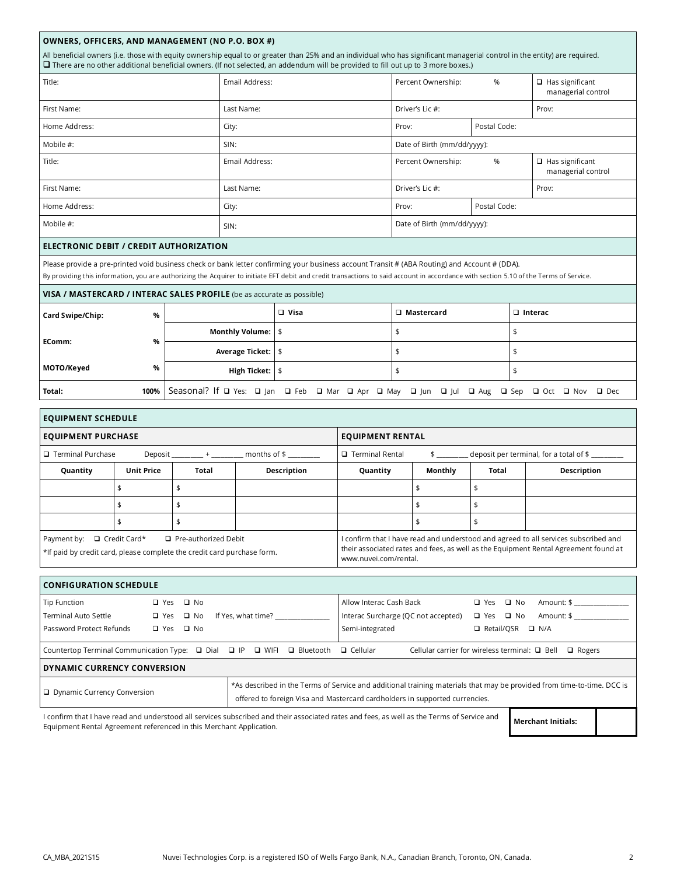### OWNERS, OFFICERS, AND MANAGEMENT (NO P.O. BOX #)

All beneficial owners (i.e. those with equity ownership equal to or greater than 25% and an individual who has significant managerial control in the entity) are required. □ There are no other additional beneficial owners. (If not selected, an addendum will be provided to fill out up to 3 more boxes.)

| Title:        | Email Address: | Percent Ownership:          | $\Box$ Has significant<br>managerial control |  |  |
|---------------|----------------|-----------------------------|----------------------------------------------|--|--|
| First Name:   | Last Name:     | Driver's Lic #:             | Prov:                                        |  |  |
| Home Address: | City:          | Prov:                       |                                              |  |  |
| Mobile #:     | SIN:           | Date of Birth (mm/dd/yyyy): |                                              |  |  |
| Title:        | Email Address: | Percent Ownership:          | $\Box$ Has significant<br>managerial control |  |  |
| First Name:   | Last Name:     | Driver's Lic #:             | Prov:                                        |  |  |
| Home Address: | City:          | Prov:                       |                                              |  |  |
| Mobile #:     | SIN:           | Date of Birth (mm/dd/yyyy): |                                              |  |  |
|               |                |                             |                                              |  |  |

## ELECTRONIC DEBIT / CREDIT AUTHORIZATION

Please provide a pre-printed void business check or bank letter confirming your business account Transit # (ABA Routing) and Account # (DDA).

By providing this information, you are authorizing the Acquirer to initiate EFT debit and credit transactions to said account in accordance with section 5.10 of the Terms of Service.

| VISA / MASTERCARD / INTERAC SALES PROFILE (be as accurate as possible) |      |                            |             |                                                                                                    |                |  |  |  |  |  |
|------------------------------------------------------------------------|------|----------------------------|-------------|----------------------------------------------------------------------------------------------------|----------------|--|--|--|--|--|
| Card Swipe/Chip:                                                       | %    |                            | $\Box$ Visa | $\Box$ Mastercard                                                                                  | $\Box$ Interac |  |  |  |  |  |
|                                                                        | $\%$ | Monthly Volume:   \$       |             |                                                                                                    |                |  |  |  |  |  |
| EComm:                                                                 |      | Average Ticket:   \$       |             |                                                                                                    |                |  |  |  |  |  |
| MOTO/Keyed                                                             | %    | High Ticket: $\frac{1}{2}$ |             |                                                                                                    |                |  |  |  |  |  |
| Total:                                                                 |      |                            |             | 100%   Seasonal? If Q Yes: Q Jan Q Feb Q Mar Q Apr Q May Q Jun Q Jul Q Aug Q Sep Q Oct Q Nov Q Dec |                |  |  |  |  |  |

| <b>EQUIPMENT SCHEDULE</b>     |                                                                                                |                          |                        |                                                                                                                                                                                                     |                                                                           |       |             |  |  |  |
|-------------------------------|------------------------------------------------------------------------------------------------|--------------------------|------------------------|-----------------------------------------------------------------------------------------------------------------------------------------------------------------------------------------------------|---------------------------------------------------------------------------|-------|-------------|--|--|--|
| <b>EQUIPMENT PURCHASE</b>     |                                                                                                |                          |                        | <b>EQUIPMENT RENTAL</b>                                                                                                                                                                             |                                                                           |       |             |  |  |  |
| <b>Q</b> Terminal Purchase    |                                                                                                | Deposit $+$ months of \$ | $\Box$ Terminal Rental | deposit per terminal, for a total of \$<br>$\frac{1}{2}$                                                                                                                                            |                                                                           |       |             |  |  |  |
| Quantity                      | <b>Unit Price</b>                                                                              | Total                    | Description            | Quantity                                                                                                                                                                                            | Monthly                                                                   | Total | Description |  |  |  |
|                               |                                                                                                |                          |                        |                                                                                                                                                                                                     |                                                                           |       |             |  |  |  |
|                               |                                                                                                |                          |                        |                                                                                                                                                                                                     |                                                                           |       |             |  |  |  |
|                               |                                                                                                | \$                       |                        |                                                                                                                                                                                                     |                                                                           |       |             |  |  |  |
| Payment by:                   | $\Box$ Credit Card*<br>*If paid by credit card, please complete the credit card purchase form. | □ Pre-authorized Debit   |                        | I confirm that I have read and understood and agreed to all services subscribed and<br>their associated rates and fees, as well as the Equipment Rental Agreement found at<br>www.nuvei.com/rental. |                                                                           |       |             |  |  |  |
|                               |                                                                                                |                          |                        |                                                                                                                                                                                                     |                                                                           |       |             |  |  |  |
| <b>CONFIGURATION SCHEDULE</b> |                                                                                                |                          |                        |                                                                                                                                                                                                     |                                                                           |       |             |  |  |  |
| Tip Function                  | $\Box$ Yes                                                                                     | $\square$ No             |                        |                                                                                                                                                                                                     | Allow Interac Cash Back<br>$\square$ No<br>Amount: \$<br>$\Box$ Yes       |       |             |  |  |  |
| <b>Terminal Auto Settle</b>   | □ Yes                                                                                          | $\Box$ No                | If Yes, what time?     |                                                                                                                                                                                                     | Amount: \$<br>Interac Surcharge (QC not accepted)<br>$\Box$ Yes $\Box$ No |       |             |  |  |  |
| Password Protect Refunds      |                                                                                                | $\Box$ Yes $\Box$ No     |                        | Semi-integrated<br>□ Retail/OSR<br>$\Box$ N/A                                                                                                                                                       |                                                                           |       |             |  |  |  |

| Countertop Terminal Communication Type: $\Box$ Dial $\Box$ IP $\Box$ WIFI $\Box$ Bluetooth $\Box$ Cellular                               |  |                                                                                                                                                                                                       |  |  | Cellular carrier for wireless terminal: $\Box$ Bell $\Box$ Rogers |  |  |  |
|------------------------------------------------------------------------------------------------------------------------------------------|--|-------------------------------------------------------------------------------------------------------------------------------------------------------------------------------------------------------|--|--|-------------------------------------------------------------------|--|--|--|
| DYNAMIC CURRENCY CONVERSION                                                                                                              |  |                                                                                                                                                                                                       |  |  |                                                                   |  |  |  |
| $\Box$ Dynamic Currency Conversion                                                                                                       |  | *As described in the Terms of Service and additional training materials that may be provided from time-to-time. DCC is<br>offered to foreign Visa and Mastercard cardholders in supported currencies. |  |  |                                                                   |  |  |  |
| Loopfirm that Lhave read and understood all services subscribed and their associated rates and fees, as well as the Terms of Service and |  |                                                                                                                                                                                                       |  |  |                                                                   |  |  |  |

Equipment Rental Agreement referenced in this Merchant Application.

**Merchant Initials:**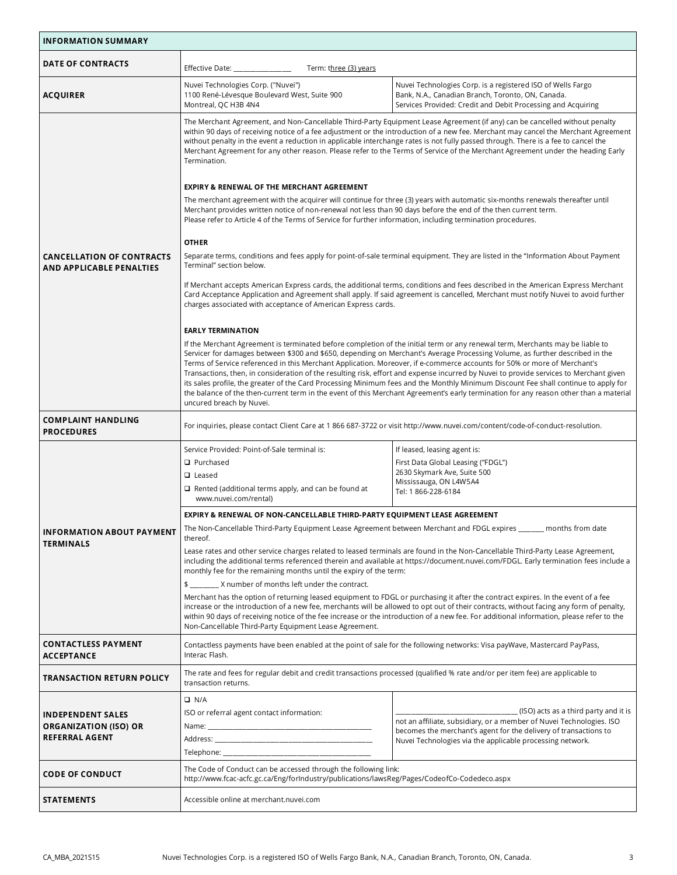| <b>INFORMATION SUMMARY</b>                                          |                                                                                                                                                                                                                                                                                                                                                                                                                                                                                                                                                                                                                                                                                                                                                                                                                                                                                                                                                                                          |                                                                                                                                                                                                                                                                                                                                                                                                                                                                                                                                                                                                                                                                                                                                                                                                                     |  |  |  |  |  |  |
|---------------------------------------------------------------------|------------------------------------------------------------------------------------------------------------------------------------------------------------------------------------------------------------------------------------------------------------------------------------------------------------------------------------------------------------------------------------------------------------------------------------------------------------------------------------------------------------------------------------------------------------------------------------------------------------------------------------------------------------------------------------------------------------------------------------------------------------------------------------------------------------------------------------------------------------------------------------------------------------------------------------------------------------------------------------------|---------------------------------------------------------------------------------------------------------------------------------------------------------------------------------------------------------------------------------------------------------------------------------------------------------------------------------------------------------------------------------------------------------------------------------------------------------------------------------------------------------------------------------------------------------------------------------------------------------------------------------------------------------------------------------------------------------------------------------------------------------------------------------------------------------------------|--|--|--|--|--|--|
| DATE OF CONTRACTS                                                   | Effective Date: ______________<br>Term: three (3) years                                                                                                                                                                                                                                                                                                                                                                                                                                                                                                                                                                                                                                                                                                                                                                                                                                                                                                                                  |                                                                                                                                                                                                                                                                                                                                                                                                                                                                                                                                                                                                                                                                                                                                                                                                                     |  |  |  |  |  |  |
| <b>ACQUIRER</b>                                                     | Nuvei Technologies Corp. ("Nuvei")<br>1100 René-Lévesque Boulevard West, Suite 900<br>Montreal, QC H3B 4N4                                                                                                                                                                                                                                                                                                                                                                                                                                                                                                                                                                                                                                                                                                                                                                                                                                                                               | Nuvei Technologies Corp. is a registered ISO of Wells Fargo<br>Bank, N.A., Canadian Branch, Toronto, ON, Canada.<br>Services Provided: Credit and Debit Processing and Acquiring                                                                                                                                                                                                                                                                                                                                                                                                                                                                                                                                                                                                                                    |  |  |  |  |  |  |
|                                                                     | The Merchant Agreement, and Non-Cancellable Third-Party Equipment Lease Agreement (if any) can be cancelled without penalty<br>within 90 days of receiving notice of a fee adjustment or the introduction of a new fee. Merchant may cancel the Merchant Agreement<br>without penalty in the event a reduction in applicable interchange rates is not fully passed through. There is a fee to cancel the<br>Merchant Agreement for any other reason. Please refer to the Terms of Service of the Merchant Agreement under the heading Early<br>Termination.<br><b>EXPIRY &amp; RENEWAL OF THE MERCHANT AGREEMENT</b><br>The merchant agreement with the acquirer will continue for three (3) years with automatic six-months renewals thereafter until<br>Merchant provides written notice of non-renewal not less than 90 days before the end of the then current term.<br>Please refer to Article 4 of the Terms of Service for further information, including termination procedures. |                                                                                                                                                                                                                                                                                                                                                                                                                                                                                                                                                                                                                                                                                                                                                                                                                     |  |  |  |  |  |  |
|                                                                     | <b>OTHER</b>                                                                                                                                                                                                                                                                                                                                                                                                                                                                                                                                                                                                                                                                                                                                                                                                                                                                                                                                                                             | Separate terms, conditions and fees apply for point-of-sale terminal equipment. They are listed in the "Information About Payment                                                                                                                                                                                                                                                                                                                                                                                                                                                                                                                                                                                                                                                                                   |  |  |  |  |  |  |
| <b>CANCELLATION OF CONTRACTS</b><br><b>AND APPLICABLE PENALTIES</b> | Terminal" section below.                                                                                                                                                                                                                                                                                                                                                                                                                                                                                                                                                                                                                                                                                                                                                                                                                                                                                                                                                                 |                                                                                                                                                                                                                                                                                                                                                                                                                                                                                                                                                                                                                                                                                                                                                                                                                     |  |  |  |  |  |  |
|                                                                     | If Merchant accepts American Express cards, the additional terms, conditions and fees described in the American Express Merchant<br>Card Acceptance Application and Agreement shall apply. If said agreement is cancelled, Merchant must notify Nuvei to avoid further<br>charges associated with acceptance of American Express cards.                                                                                                                                                                                                                                                                                                                                                                                                                                                                                                                                                                                                                                                  |                                                                                                                                                                                                                                                                                                                                                                                                                                                                                                                                                                                                                                                                                                                                                                                                                     |  |  |  |  |  |  |
|                                                                     | <b>EARLY TERMINATION</b>                                                                                                                                                                                                                                                                                                                                                                                                                                                                                                                                                                                                                                                                                                                                                                                                                                                                                                                                                                 |                                                                                                                                                                                                                                                                                                                                                                                                                                                                                                                                                                                                                                                                                                                                                                                                                     |  |  |  |  |  |  |
|                                                                     | uncured breach by Nuvei.                                                                                                                                                                                                                                                                                                                                                                                                                                                                                                                                                                                                                                                                                                                                                                                                                                                                                                                                                                 | If the Merchant Agreement is terminated before completion of the initial term or any renewal term, Merchants may be liable to<br>Servicer for damages between \$300 and \$650, depending on Merchant's Average Processing Volume, as further described in the<br>Terms of Service referenced in this Merchant Application. Moreover, if e-commerce accounts for 50% or more of Merchant's<br>Transactions, then, in consideration of the resulting risk, effort and expense incurred by Nuvei to provide services to Merchant given<br>its sales profile, the greater of the Card Processing Minimum fees and the Monthly Minimum Discount Fee shall continue to apply for<br>the balance of the then-current term in the event of this Merchant Agreement's early termination for any reason other than a material |  |  |  |  |  |  |
| <b>COMPLAINT HANDLING</b><br><b>PROCEDURES</b>                      | For inquiries, please contact Client Care at 1 866 687-3722 or visit http://www.nuvei.com/content/code-of-conduct-resolution.                                                                                                                                                                                                                                                                                                                                                                                                                                                                                                                                                                                                                                                                                                                                                                                                                                                            |                                                                                                                                                                                                                                                                                                                                                                                                                                                                                                                                                                                                                                                                                                                                                                                                                     |  |  |  |  |  |  |
|                                                                     | Service Provided: Point-of-Sale terminal is:                                                                                                                                                                                                                                                                                                                                                                                                                                                                                                                                                                                                                                                                                                                                                                                                                                                                                                                                             | If leased, leasing agent is:                                                                                                                                                                                                                                                                                                                                                                                                                                                                                                                                                                                                                                                                                                                                                                                        |  |  |  |  |  |  |
|                                                                     | <b>Q</b> Purchased                                                                                                                                                                                                                                                                                                                                                                                                                                                                                                                                                                                                                                                                                                                                                                                                                                                                                                                                                                       | First Data Global Leasing ("FDGL")                                                                                                                                                                                                                                                                                                                                                                                                                                                                                                                                                                                                                                                                                                                                                                                  |  |  |  |  |  |  |
|                                                                     | $\Box$ Leased                                                                                                                                                                                                                                                                                                                                                                                                                                                                                                                                                                                                                                                                                                                                                                                                                                                                                                                                                                            | 2630 Skymark Ave, Suite 500<br>Mississauga, ON L4W5A4                                                                                                                                                                                                                                                                                                                                                                                                                                                                                                                                                                                                                                                                                                                                                               |  |  |  |  |  |  |
|                                                                     | $\Box$ Rented (additional terms apply, and can be found at<br>www.nuvei.com/rental)                                                                                                                                                                                                                                                                                                                                                                                                                                                                                                                                                                                                                                                                                                                                                                                                                                                                                                      | Tel: 1 866-228-6184                                                                                                                                                                                                                                                                                                                                                                                                                                                                                                                                                                                                                                                                                                                                                                                                 |  |  |  |  |  |  |
|                                                                     | EXPIRY & RENEWAL OF NON-CANCELLABLE THIRD-PARTY EQUIPMENT LEASE AGREEMENT                                                                                                                                                                                                                                                                                                                                                                                                                                                                                                                                                                                                                                                                                                                                                                                                                                                                                                                |                                                                                                                                                                                                                                                                                                                                                                                                                                                                                                                                                                                                                                                                                                                                                                                                                     |  |  |  |  |  |  |
| <b>INFORMATION ABOUT PAYMENT</b>                                    | The Non-Cancellable Third-Party Equipment Lease Agreement between Merchant and FDGL expires __<br>__ months from date<br>thereof.                                                                                                                                                                                                                                                                                                                                                                                                                                                                                                                                                                                                                                                                                                                                                                                                                                                        |                                                                                                                                                                                                                                                                                                                                                                                                                                                                                                                                                                                                                                                                                                                                                                                                                     |  |  |  |  |  |  |
| <b>TERMINALS</b>                                                    | Lease rates and other service charges related to leased terminals are found in the Non-Cancellable Third-Party Lease Agreement,<br>including the additional terms referenced therein and available at https://document.nuvei.com/FDGL. Early termination fees include a<br>monthly fee for the remaining months until the expiry of the term:                                                                                                                                                                                                                                                                                                                                                                                                                                                                                                                                                                                                                                            |                                                                                                                                                                                                                                                                                                                                                                                                                                                                                                                                                                                                                                                                                                                                                                                                                     |  |  |  |  |  |  |
|                                                                     | \$ X number of months left under the contract.                                                                                                                                                                                                                                                                                                                                                                                                                                                                                                                                                                                                                                                                                                                                                                                                                                                                                                                                           |                                                                                                                                                                                                                                                                                                                                                                                                                                                                                                                                                                                                                                                                                                                                                                                                                     |  |  |  |  |  |  |
|                                                                     | Merchant has the option of returning leased equipment to FDGL or purchasing it after the contract expires. In the event of a fee<br>increase or the introduction of a new fee, merchants will be allowed to opt out of their contracts, without facing any form of penalty,<br>within 90 days of receiving notice of the fee increase or the introduction of a new fee. For additional information, please refer to the<br>Non-Cancellable Third-Party Equipment Lease Agreement.                                                                                                                                                                                                                                                                                                                                                                                                                                                                                                        |                                                                                                                                                                                                                                                                                                                                                                                                                                                                                                                                                                                                                                                                                                                                                                                                                     |  |  |  |  |  |  |
| <b>CONTACTLESS PAYMENT</b><br><b>ACCEPTANCE</b>                     | Interac Flash.                                                                                                                                                                                                                                                                                                                                                                                                                                                                                                                                                                                                                                                                                                                                                                                                                                                                                                                                                                           | Contactless payments have been enabled at the point of sale for the following networks: Visa payWave, Mastercard PayPass,                                                                                                                                                                                                                                                                                                                                                                                                                                                                                                                                                                                                                                                                                           |  |  |  |  |  |  |
| <b>TRANSACTION RETURN POLICY</b>                                    | transaction returns.                                                                                                                                                                                                                                                                                                                                                                                                                                                                                                                                                                                                                                                                                                                                                                                                                                                                                                                                                                     | The rate and fees for regular debit and credit transactions processed (qualified % rate and/or per item fee) are applicable to                                                                                                                                                                                                                                                                                                                                                                                                                                                                                                                                                                                                                                                                                      |  |  |  |  |  |  |
|                                                                     | $\Box$ N/A                                                                                                                                                                                                                                                                                                                                                                                                                                                                                                                                                                                                                                                                                                                                                                                                                                                                                                                                                                               |                                                                                                                                                                                                                                                                                                                                                                                                                                                                                                                                                                                                                                                                                                                                                                                                                     |  |  |  |  |  |  |
| <b>INDEPENDENT SALES</b>                                            | ISO or referral agent contact information:                                                                                                                                                                                                                                                                                                                                                                                                                                                                                                                                                                                                                                                                                                                                                                                                                                                                                                                                               | (ISO) acts as a third party and it is                                                                                                                                                                                                                                                                                                                                                                                                                                                                                                                                                                                                                                                                                                                                                                               |  |  |  |  |  |  |
| <b>ORGANIZATION (ISO) OR</b>                                        |                                                                                                                                                                                                                                                                                                                                                                                                                                                                                                                                                                                                                                                                                                                                                                                                                                                                                                                                                                                          | not an affiliate, subsidiary, or a member of Nuvei Technologies. ISO<br>becomes the merchant's agent for the delivery of transactions to                                                                                                                                                                                                                                                                                                                                                                                                                                                                                                                                                                                                                                                                            |  |  |  |  |  |  |
| <b>REFERRAL AGENT</b>                                               |                                                                                                                                                                                                                                                                                                                                                                                                                                                                                                                                                                                                                                                                                                                                                                                                                                                                                                                                                                                          | Nuvei Technologies via the applicable processing network.                                                                                                                                                                                                                                                                                                                                                                                                                                                                                                                                                                                                                                                                                                                                                           |  |  |  |  |  |  |
|                                                                     |                                                                                                                                                                                                                                                                                                                                                                                                                                                                                                                                                                                                                                                                                                                                                                                                                                                                                                                                                                                          |                                                                                                                                                                                                                                                                                                                                                                                                                                                                                                                                                                                                                                                                                                                                                                                                                     |  |  |  |  |  |  |
| <b>CODE OF CONDUCT</b>                                              | The Code of Conduct can be accessed through the following link:<br>http://www.fcac-acfc.gc.ca/Eng/forIndustry/publications/lawsReg/Pages/CodeofCo-Codedeco.aspx                                                                                                                                                                                                                                                                                                                                                                                                                                                                                                                                                                                                                                                                                                                                                                                                                          |                                                                                                                                                                                                                                                                                                                                                                                                                                                                                                                                                                                                                                                                                                                                                                                                                     |  |  |  |  |  |  |
| STATEMENTS                                                          | Accessible online at merchant.nuvei.com                                                                                                                                                                                                                                                                                                                                                                                                                                                                                                                                                                                                                                                                                                                                                                                                                                                                                                                                                  |                                                                                                                                                                                                                                                                                                                                                                                                                                                                                                                                                                                                                                                                                                                                                                                                                     |  |  |  |  |  |  |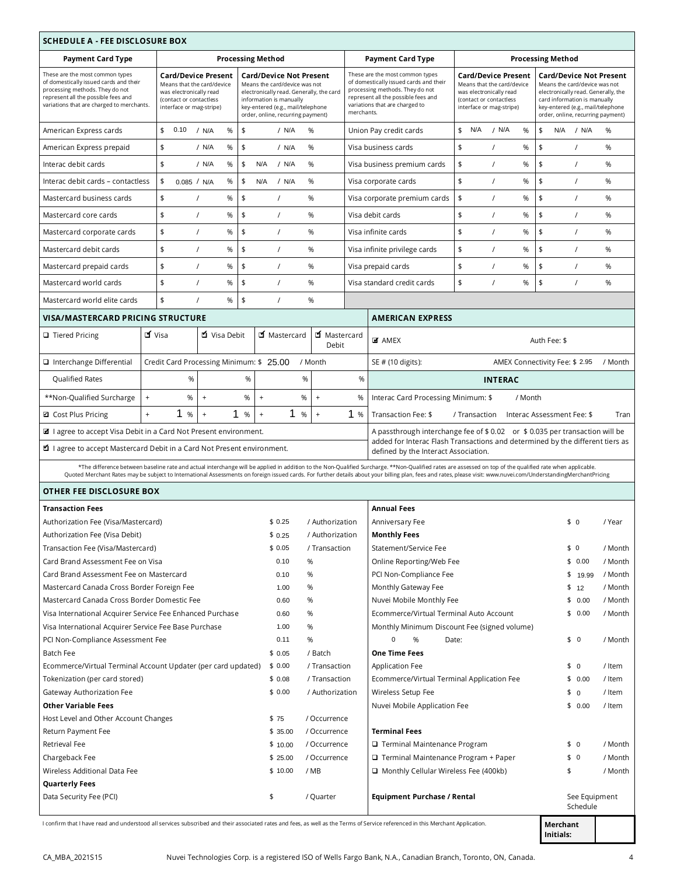| <b>SCHEDULE A - FEE DISCLOSURE BOX</b>                                                                                                                                                                                             |                                         |                                                                                                                                                                                                                                                                                                                                                                |        |                     |                              |                       |                                                                                                                                                                                                                                                                                                                                                                                                                                                                       |                |                               |                                                                                                                                                                                                                  |                            |                           |                    |  |
|------------------------------------------------------------------------------------------------------------------------------------------------------------------------------------------------------------------------------------|-----------------------------------------|----------------------------------------------------------------------------------------------------------------------------------------------------------------------------------------------------------------------------------------------------------------------------------------------------------------------------------------------------------------|--------|---------------------|------------------------------|-----------------------|-----------------------------------------------------------------------------------------------------------------------------------------------------------------------------------------------------------------------------------------------------------------------------------------------------------------------------------------------------------------------------------------------------------------------------------------------------------------------|----------------|-------------------------------|------------------------------------------------------------------------------------------------------------------------------------------------------------------------------------------------------------------|----------------------------|---------------------------|--------------------|--|
| <b>Payment Card Type</b>                                                                                                                                                                                                           |                                         | <b>Processing Method</b>                                                                                                                                                                                                                                                                                                                                       |        |                     |                              |                       | <b>Payment Card Type</b>                                                                                                                                                                                                                                                                                                                                                                                                                                              |                |                               |                                                                                                                                                                                                                  | <b>Processing Method</b>   |                           |                    |  |
| These are the most common types<br>of domestically issued cards and their<br>processing methods. They do not<br>represent all the possible fees and<br>variations that are charged to merchants.                                   |                                         | <b>Card/Device Present</b><br><b>Card/Device Not Present</b><br>Means that the card/device<br>Means the card/device was not<br>was electronically read<br>electronically read. Generally, the card<br>(contact or contactless<br>information is manually<br>key-entered (e.g., mail/telephone<br>interface or mag-stripe)<br>order, online, recurring payment) |        |                     |                              |                       | These are the most common types<br><b>Card/Device Present</b><br>of domestically issued cards and their<br>Means that the card/device<br>processing methods. They do not<br>was electronically read<br>represent all the possible fees and<br>(contact or contactless<br>variations that are charged to<br>interface or mag-stripe)<br>merchants.                                                                                                                     |                |                               | <b>Card/Device Not Present</b><br>Means the card/device was not<br>electronically read. Generally, the<br>card information is manually<br>key-entered (e.g., mail/telephone<br>order, online, recurring payment) |                            |                           |                    |  |
| American Express cards                                                                                                                                                                                                             | \$<br>0.10                              | %<br>/ N/A                                                                                                                                                                                                                                                                                                                                                     | \$     | / N/A               | %                            |                       | Union Pay credit cards                                                                                                                                                                                                                                                                                                                                                                                                                                                | \$<br>N/A      | / N/A<br>%                    | \$                                                                                                                                                                                                               | $N/A$ / $N/A$              |                           | %                  |  |
| American Express prepaid                                                                                                                                                                                                           | \$                                      | / N/A<br>%                                                                                                                                                                                                                                                                                                                                                     | \$     | / N/A               | %                            |                       | Visa business cards                                                                                                                                                                                                                                                                                                                                                                                                                                                   | \$<br>$\prime$ | %                             | \$                                                                                                                                                                                                               | $\prime$                   |                           | %                  |  |
| Interac debit cards                                                                                                                                                                                                                | \$                                      | / N/A<br>%                                                                                                                                                                                                                                                                                                                                                     | \$     | N/A<br>/ N/A        | %                            |                       | Visa business premium cards                                                                                                                                                                                                                                                                                                                                                                                                                                           | \$<br>$\prime$ | %                             | $\frac{1}{2}$                                                                                                                                                                                                    | $\prime$                   |                           | %                  |  |
| Interac debit cards - contactless                                                                                                                                                                                                  | \$                                      | %<br>0.085 / N/A                                                                                                                                                                                                                                                                                                                                               | \$     | N/A<br>/ N/A        | %                            |                       | Visa corporate cards                                                                                                                                                                                                                                                                                                                                                                                                                                                  | \$<br>$\prime$ | %                             | \$                                                                                                                                                                                                               | $\prime$                   |                           | %                  |  |
| Mastercard business cards                                                                                                                                                                                                          | \$                                      | %<br>$\prime$                                                                                                                                                                                                                                                                                                                                                  | \$     | $\prime$            | %                            |                       | Visa corporate premium cards                                                                                                                                                                                                                                                                                                                                                                                                                                          | \$<br>$\prime$ | %                             | \$                                                                                                                                                                                                               | $\prime$                   |                           | %                  |  |
| Mastercard core cards                                                                                                                                                                                                              | \$                                      | $\prime$<br>$\%$                                                                                                                                                                                                                                                                                                                                               | \$     | $\prime$            | %                            |                       | Visa debit cards                                                                                                                                                                                                                                                                                                                                                                                                                                                      | \$<br>$\prime$ | %                             | \$                                                                                                                                                                                                               | $\prime$                   |                           | %                  |  |
| Mastercard corporate cards                                                                                                                                                                                                         | \$                                      | %<br>$\prime$                                                                                                                                                                                                                                                                                                                                                  | \$     | $\prime$            | %                            |                       | Visa infinite cards                                                                                                                                                                                                                                                                                                                                                                                                                                                   | \$<br>$\prime$ | %                             | \$                                                                                                                                                                                                               | $\prime$                   |                           | %                  |  |
| Mastercard debit cards                                                                                                                                                                                                             | \$                                      | $\prime$<br>%                                                                                                                                                                                                                                                                                                                                                  | \$     | $\prime$            | %                            |                       | Visa infinite privilege cards                                                                                                                                                                                                                                                                                                                                                                                                                                         | \$<br>$\prime$ | %                             | \$                                                                                                                                                                                                               | $\prime$                   |                           | %                  |  |
| Mastercard prepaid cards                                                                                                                                                                                                           | \$                                      | $\prime$<br>%                                                                                                                                                                                                                                                                                                                                                  | \$     | $\prime$            | %                            |                       | Visa prepaid cards                                                                                                                                                                                                                                                                                                                                                                                                                                                    | \$<br>$\prime$ | %                             | \$                                                                                                                                                                                                               | $\prime$                   |                           | %                  |  |
| Mastercard world cards                                                                                                                                                                                                             | \$                                      | $\prime$<br>%                                                                                                                                                                                                                                                                                                                                                  | \$     | $\prime$            | %                            |                       | Visa standard credit cards                                                                                                                                                                                                                                                                                                                                                                                                                                            | \$<br>$\prime$ | %                             | $\frac{1}{2}$                                                                                                                                                                                                    | $\prime$                   |                           | %                  |  |
| Mastercard world elite cards                                                                                                                                                                                                       | \$                                      | %<br>$\prime$                                                                                                                                                                                                                                                                                                                                                  | \$     | $\prime$            | %                            |                       |                                                                                                                                                                                                                                                                                                                                                                                                                                                                       |                |                               |                                                                                                                                                                                                                  |                            |                           |                    |  |
| <b>VISA/MASTERCARD PRICING STRUCTURE</b>                                                                                                                                                                                           |                                         |                                                                                                                                                                                                                                                                                                                                                                |        |                     |                              |                       | <b>AMERICAN EXPRESS</b>                                                                                                                                                                                                                                                                                                                                                                                                                                               |                |                               |                                                                                                                                                                                                                  |                            |                           |                    |  |
| $\Box$ Tiered Pricing                                                                                                                                                                                                              | <b>ซั</b> Visa                          | ■ Visa Debit                                                                                                                                                                                                                                                                                                                                                   |        | ■ Mastercard        |                              | ■ Mastercard<br>Debit | <b>M</b> AMEX                                                                                                                                                                                                                                                                                                                                                                                                                                                         |                |                               |                                                                                                                                                                                                                  | Auth Fee: \$               |                           |                    |  |
| □ Interchange Differential                                                                                                                                                                                                         | Credit Card Processing Minimum: \$25.00 |                                                                                                                                                                                                                                                                                                                                                                |        |                     | / Month                      |                       | SE # (10 digits):                                                                                                                                                                                                                                                                                                                                                                                                                                                     |                | AMEX Connectivity Fee: \$2.95 |                                                                                                                                                                                                                  |                            |                           | / Month            |  |
| Qualified Rates                                                                                                                                                                                                                    | %                                       |                                                                                                                                                                                                                                                                                                                                                                | %      | %                   |                              | %                     |                                                                                                                                                                                                                                                                                                                                                                                                                                                                       |                | <b>INTERAC</b>                |                                                                                                                                                                                                                  |                            |                           |                    |  |
| **Non-Qualified Surcharge                                                                                                                                                                                                          | $\ddot{}$<br>%                          | $\boldsymbol{+}$                                                                                                                                                                                                                                                                                                                                               | $\%$   | $\ddot{}$<br>%      | $\ddot{}$                    | %                     | Interac Card Processing Minimum: \$                                                                                                                                                                                                                                                                                                                                                                                                                                   |                | / Month                       |                                                                                                                                                                                                                  |                            |                           |                    |  |
| <b>□</b> Cost Plus Pricing                                                                                                                                                                                                         | 1<br>$\ddot{+}$<br>%                    | $\ddot{}$                                                                                                                                                                                                                                                                                                                                                      | 1<br>% | 1<br>$\ddot{}$<br>% | $\ddot{}$                    | 1%                    | Transaction Fee: \$                                                                                                                                                                                                                                                                                                                                                                                                                                                   | / Transaction  |                               |                                                                                                                                                                                                                  | Interac Assessment Fee: \$ |                           | Tran               |  |
| a I agree to accept Visa Debit in a Card Not Present environment.<br>A passthrough interchange fee of \$ 0.02 or \$ 0.035 per transaction will be<br>added for Interac Flash Transactions and determined by the different tiers as |                                         |                                                                                                                                                                                                                                                                                                                                                                |        |                     |                              |                       |                                                                                                                                                                                                                                                                                                                                                                                                                                                                       |                |                               |                                                                                                                                                                                                                  |                            |                           |                    |  |
| <b>■</b> I agree to accept Mastercard Debit in a Card Not Present environment.                                                                                                                                                     |                                         |                                                                                                                                                                                                                                                                                                                                                                |        |                     |                              |                       | defined by the Interact Association.<br>*The difference between baseline rate and actual interchange will be applied in addition to the Non-Qualified Surcharge. **Non-Qualified rates are assessed on top of the qualified rate when applicable.<br>Quoted Merchant Rates may be subject to International Assessments on foreign issued cards. For further details about your billing plan, fees and rates, please visit: www.nuvei.com/UnderstandingMerchantPricing |                |                               |                                                                                                                                                                                                                  |                            |                           |                    |  |
| <b>OTHER FEE DISCLOSURE BOX</b>                                                                                                                                                                                                    |                                         |                                                                                                                                                                                                                                                                                                                                                                |        |                     |                              |                       |                                                                                                                                                                                                                                                                                                                                                                                                                                                                       |                |                               |                                                                                                                                                                                                                  |                            |                           |                    |  |
| <b>Transaction Fees</b>                                                                                                                                                                                                            |                                         |                                                                                                                                                                                                                                                                                                                                                                |        |                     |                              |                       | <b>Annual Fees</b>                                                                                                                                                                                                                                                                                                                                                                                                                                                    |                |                               |                                                                                                                                                                                                                  |                            |                           |                    |  |
| Authorization Fee (Visa/Mastercard)                                                                                                                                                                                                |                                         |                                                                                                                                                                                                                                                                                                                                                                |        | \$0.25              | / Authorization              |                       | Anniversary Fee                                                                                                                                                                                                                                                                                                                                                                                                                                                       |                |                               |                                                                                                                                                                                                                  | \$ 0                       |                           | / Year             |  |
| Authorization Fee (Visa Debit)                                                                                                                                                                                                     |                                         |                                                                                                                                                                                                                                                                                                                                                                |        | \$0.25              | / Authorization              |                       | <b>Monthly Fees</b>                                                                                                                                                                                                                                                                                                                                                                                                                                                   |                |                               |                                                                                                                                                                                                                  |                            |                           |                    |  |
| Transaction Fee (Visa/Mastercard)                                                                                                                                                                                                  |                                         |                                                                                                                                                                                                                                                                                                                                                                |        | \$0.05              | / Transaction                |                       | Statement/Service Fee                                                                                                                                                                                                                                                                                                                                                                                                                                                 |                |                               |                                                                                                                                                                                                                  | \$0                        |                           | / Month            |  |
| Card Brand Assessment Fee on Visa                                                                                                                                                                                                  |                                         |                                                                                                                                                                                                                                                                                                                                                                |        | 0.10                | %                            |                       | Online Reporting/Web Fee                                                                                                                                                                                                                                                                                                                                                                                                                                              |                |                               |                                                                                                                                                                                                                  |                            | \$0.00                    | / Month            |  |
| Card Brand Assessment Fee on Mastercard<br>Mastercard Canada Cross Border Foreign Fee                                                                                                                                              |                                         |                                                                                                                                                                                                                                                                                                                                                                |        | 0.10<br>1.00        | %<br>%                       |                       | PCI Non-Compliance Fee<br>Monthly Gateway Fee                                                                                                                                                                                                                                                                                                                                                                                                                         |                |                               |                                                                                                                                                                                                                  | \$12                       | \$19.99                   | / Month<br>/ Month |  |
| Mastercard Canada Cross Border Domestic Fee                                                                                                                                                                                        |                                         |                                                                                                                                                                                                                                                                                                                                                                |        | 0.60                | %                            |                       | Nuvei Mobile Monthly Fee                                                                                                                                                                                                                                                                                                                                                                                                                                              |                |                               |                                                                                                                                                                                                                  |                            | \$0.00                    | / Month            |  |
| Visa International Acquirer Service Fee Enhanced Purchase                                                                                                                                                                          |                                         |                                                                                                                                                                                                                                                                                                                                                                |        | 0.60                | %                            |                       | Ecommerce/Virtual Terminal Auto Account                                                                                                                                                                                                                                                                                                                                                                                                                               |                |                               |                                                                                                                                                                                                                  |                            | \$0.00                    | / Month            |  |
| Visa International Acquirer Service Fee Base Purchase                                                                                                                                                                              |                                         |                                                                                                                                                                                                                                                                                                                                                                |        | 1.00                | %                            |                       | Monthly Minimum Discount Fee (signed volume)                                                                                                                                                                                                                                                                                                                                                                                                                          |                |                               |                                                                                                                                                                                                                  |                            |                           |                    |  |
| PCI Non-Compliance Assessment Fee                                                                                                                                                                                                  |                                         |                                                                                                                                                                                                                                                                                                                                                                |        | 0.11                | %                            |                       | $\mathbf 0$<br>%<br>\$0<br>Date:                                                                                                                                                                                                                                                                                                                                                                                                                                      |                |                               |                                                                                                                                                                                                                  |                            | / Month                   |                    |  |
| Batch Fee                                                                                                                                                                                                                          |                                         |                                                                                                                                                                                                                                                                                                                                                                |        | \$0.05              | / Batch                      |                       | <b>One Time Fees</b>                                                                                                                                                                                                                                                                                                                                                                                                                                                  |                |                               |                                                                                                                                                                                                                  |                            |                           |                    |  |
| Ecommerce/Virtual Terminal Account Updater (per card updated)                                                                                                                                                                      |                                         |                                                                                                                                                                                                                                                                                                                                                                |        | \$0.00              | / Transaction                |                       | Application Fee                                                                                                                                                                                                                                                                                                                                                                                                                                                       |                |                               |                                                                                                                                                                                                                  | \$0                        |                           | / Item             |  |
| Tokenization (per card stored)                                                                                                                                                                                                     |                                         |                                                                                                                                                                                                                                                                                                                                                                |        | \$0.08              | / Transaction                |                       | Ecommerce/Virtual Terminal Application Fee                                                                                                                                                                                                                                                                                                                                                                                                                            |                |                               |                                                                                                                                                                                                                  |                            | \$0.00                    | / Item             |  |
| Gateway Authorization Fee                                                                                                                                                                                                          |                                         |                                                                                                                                                                                                                                                                                                                                                                |        | \$0.00              | / Authorization              |                       | Wireless Setup Fee                                                                                                                                                                                                                                                                                                                                                                                                                                                    |                |                               | \$ 0                                                                                                                                                                                                             |                            | / Item                    |                    |  |
| <b>Other Variable Fees</b>                                                                                                                                                                                                         |                                         |                                                                                                                                                                                                                                                                                                                                                                |        |                     |                              |                       | Nuvei Mobile Application Fee                                                                                                                                                                                                                                                                                                                                                                                                                                          |                |                               |                                                                                                                                                                                                                  |                            | \$0.00                    | / Item             |  |
| Host Level and Other Account Changes<br>Return Payment Fee                                                                                                                                                                         |                                         |                                                                                                                                                                                                                                                                                                                                                                |        | \$75<br>\$35.00     | / Occurrence<br>/ Occurrence |                       | <b>Terminal Fees</b>                                                                                                                                                                                                                                                                                                                                                                                                                                                  |                |                               |                                                                                                                                                                                                                  |                            |                           |                    |  |
| Retrieval Fee                                                                                                                                                                                                                      |                                         |                                                                                                                                                                                                                                                                                                                                                                |        | \$10.00             | / Occurrence                 |                       | □ Terminal Maintenance Program                                                                                                                                                                                                                                                                                                                                                                                                                                        |                |                               |                                                                                                                                                                                                                  | \$ 0                       |                           | / Month            |  |
| Chargeback Fee                                                                                                                                                                                                                     |                                         |                                                                                                                                                                                                                                                                                                                                                                |        | \$25.00             | / Occurrence                 |                       | $\Box$ Terminal Maintenance Program + Paper                                                                                                                                                                                                                                                                                                                                                                                                                           |                |                               |                                                                                                                                                                                                                  | \$0                        |                           | / Month            |  |
| Wireless Additional Data Fee                                                                                                                                                                                                       |                                         |                                                                                                                                                                                                                                                                                                                                                                |        | \$10.00             | / MB                         |                       | Monthly Cellular Wireless Fee (400kb)                                                                                                                                                                                                                                                                                                                                                                                                                                 |                |                               |                                                                                                                                                                                                                  | \$                         |                           | / Month            |  |
| <b>Quarterly Fees</b>                                                                                                                                                                                                              |                                         |                                                                                                                                                                                                                                                                                                                                                                |        |                     |                              |                       |                                                                                                                                                                                                                                                                                                                                                                                                                                                                       |                |                               |                                                                                                                                                                                                                  |                            |                           |                    |  |
| Data Security Fee (PCI)                                                                                                                                                                                                            |                                         |                                                                                                                                                                                                                                                                                                                                                                |        | \$                  | / Quarter                    |                       | Equipment Purchase / Rental                                                                                                                                                                                                                                                                                                                                                                                                                                           |                |                               |                                                                                                                                                                                                                  |                            | See Equipment<br>Schedule |                    |  |
| Longtium that I have read and understood all services subscribed and their associated rates and fees, as well as the Terms of Service referenced in this Mershant Application                                                      |                                         |                                                                                                                                                                                                                                                                                                                                                                |        |                     |                              |                       |                                                                                                                                                                                                                                                                                                                                                                                                                                                                       |                |                               |                                                                                                                                                                                                                  |                            |                           |                    |  |

rates and fees, as wel Аpр Merchant<br>Initials: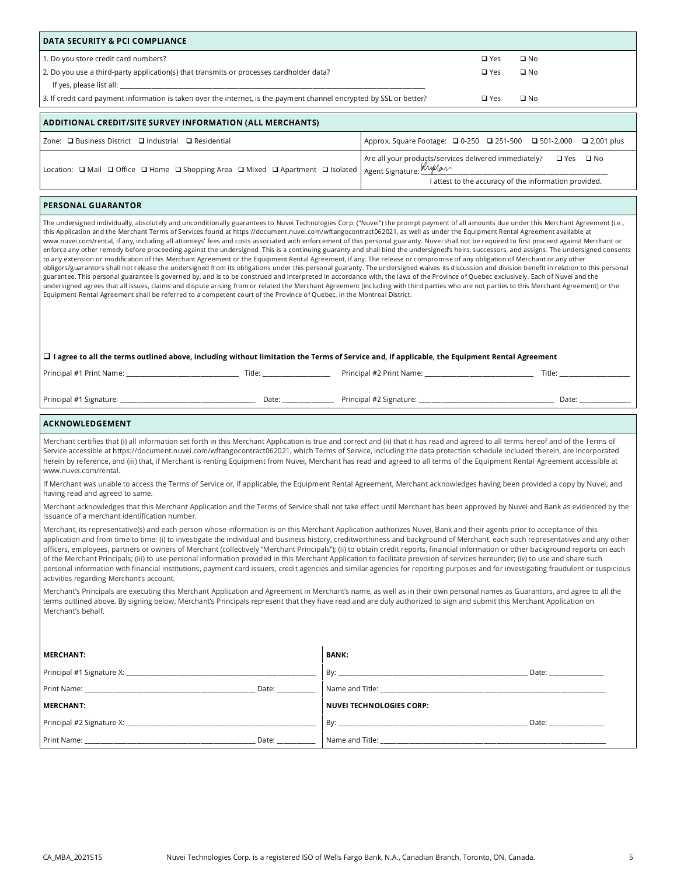| DATA SECURITY & PCI COMPLIANCE                                                                                                                                                                                                                                                                                                                                                                                                                                                                                                                                                                                                                                                                                                                                                                                                                                                                                                                                                                                                                                                                                                                                                                                                                                                                                                                                                                                                                                                                                                                                                                                                                                            |                                                                                                                                                                                                                                                                                                                                                                                                                                                                                                                                                                                                                                                                                                                                                                                                                                                                                                                                                                                                                                                                                                     |  |  |  |  |  |
|---------------------------------------------------------------------------------------------------------------------------------------------------------------------------------------------------------------------------------------------------------------------------------------------------------------------------------------------------------------------------------------------------------------------------------------------------------------------------------------------------------------------------------------------------------------------------------------------------------------------------------------------------------------------------------------------------------------------------------------------------------------------------------------------------------------------------------------------------------------------------------------------------------------------------------------------------------------------------------------------------------------------------------------------------------------------------------------------------------------------------------------------------------------------------------------------------------------------------------------------------------------------------------------------------------------------------------------------------------------------------------------------------------------------------------------------------------------------------------------------------------------------------------------------------------------------------------------------------------------------------------------------------------------------------|-----------------------------------------------------------------------------------------------------------------------------------------------------------------------------------------------------------------------------------------------------------------------------------------------------------------------------------------------------------------------------------------------------------------------------------------------------------------------------------------------------------------------------------------------------------------------------------------------------------------------------------------------------------------------------------------------------------------------------------------------------------------------------------------------------------------------------------------------------------------------------------------------------------------------------------------------------------------------------------------------------------------------------------------------------------------------------------------------------|--|--|--|--|--|
| 1. Do you store credit card numbers?                                                                                                                                                                                                                                                                                                                                                                                                                                                                                                                                                                                                                                                                                                                                                                                                                                                                                                                                                                                                                                                                                                                                                                                                                                                                                                                                                                                                                                                                                                                                                                                                                                      | $\square$ Yes<br>$\square$ No                                                                                                                                                                                                                                                                                                                                                                                                                                                                                                                                                                                                                                                                                                                                                                                                                                                                                                                                                                                                                                                                       |  |  |  |  |  |
| 2. Do you use a third-party application(s) that transmits or processes cardholder data?                                                                                                                                                                                                                                                                                                                                                                                                                                                                                                                                                                                                                                                                                                                                                                                                                                                                                                                                                                                                                                                                                                                                                                                                                                                                                                                                                                                                                                                                                                                                                                                   | $\square$ Yes<br>$\square$ No                                                                                                                                                                                                                                                                                                                                                                                                                                                                                                                                                                                                                                                                                                                                                                                                                                                                                                                                                                                                                                                                       |  |  |  |  |  |
|                                                                                                                                                                                                                                                                                                                                                                                                                                                                                                                                                                                                                                                                                                                                                                                                                                                                                                                                                                                                                                                                                                                                                                                                                                                                                                                                                                                                                                                                                                                                                                                                                                                                           |                                                                                                                                                                                                                                                                                                                                                                                                                                                                                                                                                                                                                                                                                                                                                                                                                                                                                                                                                                                                                                                                                                     |  |  |  |  |  |
| 3. If credit card payment information is taken over the internet, is the payment channel encrypted by SSL or better?<br>$\square$ Yes<br>$\square$ No                                                                                                                                                                                                                                                                                                                                                                                                                                                                                                                                                                                                                                                                                                                                                                                                                                                                                                                                                                                                                                                                                                                                                                                                                                                                                                                                                                                                                                                                                                                     |                                                                                                                                                                                                                                                                                                                                                                                                                                                                                                                                                                                                                                                                                                                                                                                                                                                                                                                                                                                                                                                                                                     |  |  |  |  |  |
| ADDITIONAL CREDIT/SITE SURVEY INFORMATION (ALL MERCHANTS)                                                                                                                                                                                                                                                                                                                                                                                                                                                                                                                                                                                                                                                                                                                                                                                                                                                                                                                                                                                                                                                                                                                                                                                                                                                                                                                                                                                                                                                                                                                                                                                                                 |                                                                                                                                                                                                                                                                                                                                                                                                                                                                                                                                                                                                                                                                                                                                                                                                                                                                                                                                                                                                                                                                                                     |  |  |  |  |  |
| Zone: □ Business District □ Industrial □ Residential                                                                                                                                                                                                                                                                                                                                                                                                                                                                                                                                                                                                                                                                                                                                                                                                                                                                                                                                                                                                                                                                                                                                                                                                                                                                                                                                                                                                                                                                                                                                                                                                                      | Approx. Square Footage: 20-250 251-500 2501-2,000 2,001 plus                                                                                                                                                                                                                                                                                                                                                                                                                                                                                                                                                                                                                                                                                                                                                                                                                                                                                                                                                                                                                                        |  |  |  |  |  |
| Location: <a> O<br/> O<br/> O<br/> O<br/> O<br/> O<br/> O<br/> O<br/> O<br/> O<br/> O<br/> O<br/> O<br> O<br> O<br> O<br> O<br/> O<br/> O<br/> O<br/> O<br/> O<br/> O<br/> O<br/> O<br/> O<br/></br></br></br></br></a>                                                                                                                                                                                                                                                                                                                                                                                                                                                                                                                                                                                                                                                                                                                                                                                                                                                                                                                                                                                                                                                                                                                                                                                                                                                                                                                                                                                                                                                   | Are all your products/services delivered immediately? □ Yes □ No<br>Agent Signature: Kyplan<br>I attest to the accuracy of the information provided.                                                                                                                                                                                                                                                                                                                                                                                                                                                                                                                                                                                                                                                                                                                                                                                                                                                                                                                                                |  |  |  |  |  |
| <b>PERSONAL GUARANTOR</b>                                                                                                                                                                                                                                                                                                                                                                                                                                                                                                                                                                                                                                                                                                                                                                                                                                                                                                                                                                                                                                                                                                                                                                                                                                                                                                                                                                                                                                                                                                                                                                                                                                                 |                                                                                                                                                                                                                                                                                                                                                                                                                                                                                                                                                                                                                                                                                                                                                                                                                                                                                                                                                                                                                                                                                                     |  |  |  |  |  |
| The undersigned individually, absolutely and unconditionally guarantees to Nuvei Technologies Corp. ("Nuvei") the prompt payment of all amounts due under this Merchant Agreement (i.e.,<br>this Application and the Merchant Terms of Services found at https://document.nuvei.com/wftangocontract062021, as well as under the Equipment Rental Agreement available at<br>www.nuvei.com/rental, if any, including all attorneys' fees and costs associated with enforcement of this personal guaranty. Nuvei shall not be required to first proceed against Merchant or<br>enforce any other remedy before proceeding against the undersigned. This is a continuing guaranty and shall bind the undersigned's heirs, successors, and assigns. The undersigned consents<br>to any extension or modification of this Merchant Agreement or the Equipment Rental Agreement, if any. The release or compromise of any obligation of Merchant or any other<br>obligors/guarantors shall not release the undersigned from its obligations under this personal guaranty. The undersigned waives its discussion and division benefit in relation to this personal<br>guarantee. This personal guarantee is governed by, and is to be construed and interpreted in accordance with, the laws of the Province of Quebec exclusively. Each of Nuvei and the<br>undersigned agrees that all issues, claims and dispute arising from or related the Merchant Agreement (including with third parties who are not parties to this Merchant Agreement) or the<br>Equipment Rental Agreement shall be referred to a competent court of the Province of Quebec, in the Montreal District. |                                                                                                                                                                                                                                                                                                                                                                                                                                                                                                                                                                                                                                                                                                                                                                                                                                                                                                                                                                                                                                                                                                     |  |  |  |  |  |
| $\Box$ I agree to all the terms outlined above, including without limitation the Terms of Service and, if applicable, the Equipment Rental Agreement                                                                                                                                                                                                                                                                                                                                                                                                                                                                                                                                                                                                                                                                                                                                                                                                                                                                                                                                                                                                                                                                                                                                                                                                                                                                                                                                                                                                                                                                                                                      |                                                                                                                                                                                                                                                                                                                                                                                                                                                                                                                                                                                                                                                                                                                                                                                                                                                                                                                                                                                                                                                                                                     |  |  |  |  |  |
|                                                                                                                                                                                                                                                                                                                                                                                                                                                                                                                                                                                                                                                                                                                                                                                                                                                                                                                                                                                                                                                                                                                                                                                                                                                                                                                                                                                                                                                                                                                                                                                                                                                                           |                                                                                                                                                                                                                                                                                                                                                                                                                                                                                                                                                                                                                                                                                                                                                                                                                                                                                                                                                                                                                                                                                                     |  |  |  |  |  |
|                                                                                                                                                                                                                                                                                                                                                                                                                                                                                                                                                                                                                                                                                                                                                                                                                                                                                                                                                                                                                                                                                                                                                                                                                                                                                                                                                                                                                                                                                                                                                                                                                                                                           |                                                                                                                                                                                                                                                                                                                                                                                                                                                                                                                                                                                                                                                                                                                                                                                                                                                                                                                                                                                                                                                                                                     |  |  |  |  |  |
|                                                                                                                                                                                                                                                                                                                                                                                                                                                                                                                                                                                                                                                                                                                                                                                                                                                                                                                                                                                                                                                                                                                                                                                                                                                                                                                                                                                                                                                                                                                                                                                                                                                                           |                                                                                                                                                                                                                                                                                                                                                                                                                                                                                                                                                                                                                                                                                                                                                                                                                                                                                                                                                                                                                                                                                                     |  |  |  |  |  |
| ACKNOWLEDGEMENT                                                                                                                                                                                                                                                                                                                                                                                                                                                                                                                                                                                                                                                                                                                                                                                                                                                                                                                                                                                                                                                                                                                                                                                                                                                                                                                                                                                                                                                                                                                                                                                                                                                           |                                                                                                                                                                                                                                                                                                                                                                                                                                                                                                                                                                                                                                                                                                                                                                                                                                                                                                                                                                                                                                                                                                     |  |  |  |  |  |
| www.nuvei.com/rental.                                                                                                                                                                                                                                                                                                                                                                                                                                                                                                                                                                                                                                                                                                                                                                                                                                                                                                                                                                                                                                                                                                                                                                                                                                                                                                                                                                                                                                                                                                                                                                                                                                                     | Merchant certifies that (i) all information set forth in this Merchant Application is true and correct and (ii) that it has read and agreed to all terms hereof and of the Terms of<br>Service accessible at https://document.nuvei.com/wftangocontract062021, which Terms of Service, including the data protection schedule included therein, are incorporated<br>herein by reference, and (iii) that, if Merchant is renting Equipment from Nuvei, Merchant has read and agreed to all terms of the Equipment Rental Agreement accessible at                                                                                                                                                                                                                                                                                                                                                                                                                                                                                                                                                     |  |  |  |  |  |
| having read and agreed to same.                                                                                                                                                                                                                                                                                                                                                                                                                                                                                                                                                                                                                                                                                                                                                                                                                                                                                                                                                                                                                                                                                                                                                                                                                                                                                                                                                                                                                                                                                                                                                                                                                                           | If Merchant was unable to access the Terms of Service or, if applicable, the Equipment Rental Agreement, Merchant acknowledges having been provided a copy by Nuvei, and                                                                                                                                                                                                                                                                                                                                                                                                                                                                                                                                                                                                                                                                                                                                                                                                                                                                                                                            |  |  |  |  |  |
|                                                                                                                                                                                                                                                                                                                                                                                                                                                                                                                                                                                                                                                                                                                                                                                                                                                                                                                                                                                                                                                                                                                                                                                                                                                                                                                                                                                                                                                                                                                                                                                                                                                                           | Merchant acknowledges that this Merchant Application and the Terms of Service shall not take effect until Merchant has been approved by Nuvei and Bank as evidenced by the                                                                                                                                                                                                                                                                                                                                                                                                                                                                                                                                                                                                                                                                                                                                                                                                                                                                                                                          |  |  |  |  |  |
| issuance of a merchant identification number.<br>activities regarding Merchant's account.<br>terms outlined above. By signing below, Merchant's Principals represent that they have read and are duly authorized to sign and submit this Merchant Application on<br>Merchant's behalf.                                                                                                                                                                                                                                                                                                                                                                                                                                                                                                                                                                                                                                                                                                                                                                                                                                                                                                                                                                                                                                                                                                                                                                                                                                                                                                                                                                                    | Merchant, its representative(s) and each person whose information is on this Merchant Application authorizes Nuvei, Bank and their agents prior to acceptance of this<br>application and from time to time: (i) to investigate the individual and business history, creditworthiness and background of Merchant, each such representatives and any other<br>officers, employees, partners or owners of Merchant (collectively "Merchant Principals"); (ii) to obtain credit reports, financial information or other background reports on each<br>of the Merchant Principals; (iii) to use personal information provided in this Merchant Application to facilitate provision of services hereunder; (iv) to use and share such<br>personal information with financial institutions, payment card issuers, credit agencies and similar agencies for reporting purposes and for investigating fraudulent or suspicious<br>Merchant's Principals are executing this Merchant Application and Agreement in Merchant's name, as well as in their own personal names as Guarantors, and agree to all the |  |  |  |  |  |
| <b>MERCHANT:</b>                                                                                                                                                                                                                                                                                                                                                                                                                                                                                                                                                                                                                                                                                                                                                                                                                                                                                                                                                                                                                                                                                                                                                                                                                                                                                                                                                                                                                                                                                                                                                                                                                                                          | <b>BANK:</b>                                                                                                                                                                                                                                                                                                                                                                                                                                                                                                                                                                                                                                                                                                                                                                                                                                                                                                                                                                                                                                                                                        |  |  |  |  |  |
|                                                                                                                                                                                                                                                                                                                                                                                                                                                                                                                                                                                                                                                                                                                                                                                                                                                                                                                                                                                                                                                                                                                                                                                                                                                                                                                                                                                                                                                                                                                                                                                                                                                                           |                                                                                                                                                                                                                                                                                                                                                                                                                                                                                                                                                                                                                                                                                                                                                                                                                                                                                                                                                                                                                                                                                                     |  |  |  |  |  |
|                                                                                                                                                                                                                                                                                                                                                                                                                                                                                                                                                                                                                                                                                                                                                                                                                                                                                                                                                                                                                                                                                                                                                                                                                                                                                                                                                                                                                                                                                                                                                                                                                                                                           |                                                                                                                                                                                                                                                                                                                                                                                                                                                                                                                                                                                                                                                                                                                                                                                                                                                                                                                                                                                                                                                                                                     |  |  |  |  |  |
| <b>MERCHANT:</b>                                                                                                                                                                                                                                                                                                                                                                                                                                                                                                                                                                                                                                                                                                                                                                                                                                                                                                                                                                                                                                                                                                                                                                                                                                                                                                                                                                                                                                                                                                                                                                                                                                                          | <b>NUVEI TECHNOLOGIES CORP:</b>                                                                                                                                                                                                                                                                                                                                                                                                                                                                                                                                                                                                                                                                                                                                                                                                                                                                                                                                                                                                                                                                     |  |  |  |  |  |
| Principal #2 Signature X: New York Contract to the Contract of the Contract of the Contract of the Contract of                                                                                                                                                                                                                                                                                                                                                                                                                                                                                                                                                                                                                                                                                                                                                                                                                                                                                                                                                                                                                                                                                                                                                                                                                                                                                                                                                                                                                                                                                                                                                            |                                                                                                                                                                                                                                                                                                                                                                                                                                                                                                                                                                                                                                                                                                                                                                                                                                                                                                                                                                                                                                                                                                     |  |  |  |  |  |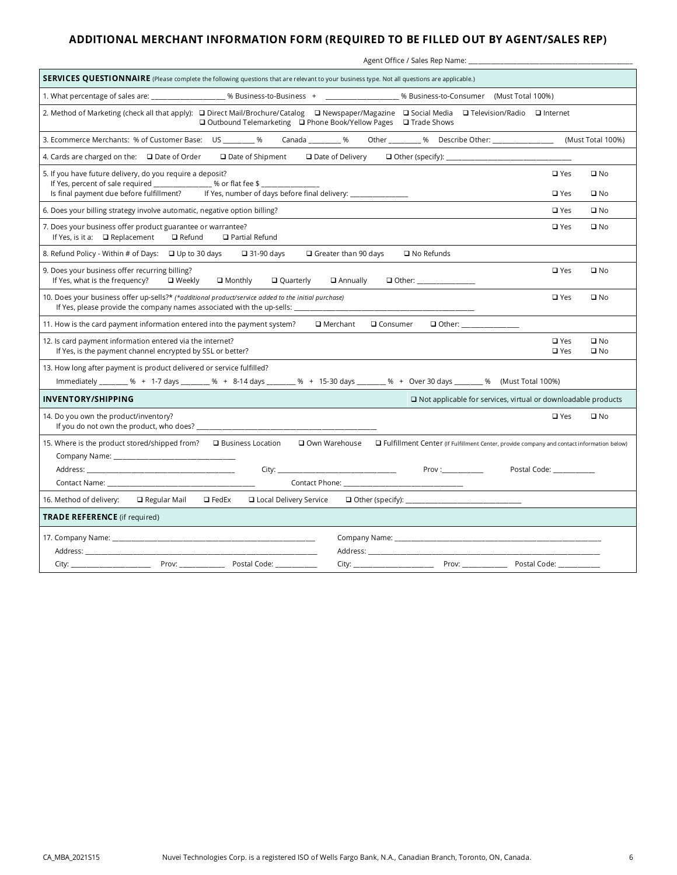# ADDITIONAL MERCHANT INFORMATION FORM (REQUIRED TO BE FILLED OUT BY AGENT/SALES REP)

| Agent Office / Sales Rep Name: ___                                                                                                                                                                                                                                                                                                     |                              |  |  |  |  |  |
|----------------------------------------------------------------------------------------------------------------------------------------------------------------------------------------------------------------------------------------------------------------------------------------------------------------------------------------|------------------------------|--|--|--|--|--|
| SERVICES QUESTIONNAIRE (Please complete the following questions that are relevant to your business type. Not all questions are applicable.)                                                                                                                                                                                            |                              |  |  |  |  |  |
| 1. What percentage of sales are: ____________________% Business-to-Business + __________________% Business-to-Consumer (Must Total 100%)                                                                                                                                                                                               |                              |  |  |  |  |  |
| 2. Method of Marketing (check all that apply): □ Direct Mail/Brochure/Catalog □ Newspaper/Magazine □ Social Media □ Television/Radio □ Internet<br>$\Box$ Outbound Telemarketing $\Box$ Phone Book/Yellow Pages $\Box$ Trade Shows                                                                                                     |                              |  |  |  |  |  |
| Canada ___________ % Other __________ % Describe Other: _________________<br>3. Ecommerce Merchants: % of Customer Base: US _______ %                                                                                                                                                                                                  | (Must Total 100%)            |  |  |  |  |  |
| 4. Cards are charged on the: $\Box$ Date of Order<br>$\Box$ Date of Shipment<br>$\Box$ Date of Delivery                                                                                                                                                                                                                                |                              |  |  |  |  |  |
| 5. If you have future delivery, do you require a deposit?<br>$\square$ Yes<br>If Yes, percent of sale required ________________% or flat fee \$                                                                                                                                                                                        | $\square$ No                 |  |  |  |  |  |
| Is final payment due before fulfillment? If Yes, number of days before final delivery: ____________<br>$\square$ Yes                                                                                                                                                                                                                   | $\square$ No                 |  |  |  |  |  |
| $\square$ Yes<br>6. Does your billing strategy involve automatic, negative option billing?                                                                                                                                                                                                                                             | $\square$ No                 |  |  |  |  |  |
| 7. Does your business offer product guarantee or warrantee?<br>$\square$ Yes<br>□ Refund<br>If Yes, is it a: $\Box$ Replacement<br>$\Box$ Partial Refund                                                                                                                                                                               | $\square$ No                 |  |  |  |  |  |
| $\Box$ Greater than 90 days<br>$\Box$ No Refunds<br>8. Refund Policy - Within # of Days: □ Up to 30 days<br>$\Box$ 31-90 days                                                                                                                                                                                                          |                              |  |  |  |  |  |
| 9. Does your business offer recurring billing?<br>$\square$ Yes<br>If Yes, what is the frequency?<br>$\Box$ Weekly<br>$\Box$ Monthly<br>Q Quarterly<br>$\Box$ Annually<br>□ Other: ______________                                                                                                                                      | $\square$ No                 |  |  |  |  |  |
| 10. Does your business offer up-sells?* (*additional product/service added to the initial purchase)<br>$\square$ Yes<br>If Yes, please provide the company names associated with the up-sells:                                                                                                                                         | $\square$ No                 |  |  |  |  |  |
| 11. How is the card payment information entered into the payment system?<br>Q Consumer<br>□ Other: _________<br>□ Merchant                                                                                                                                                                                                             |                              |  |  |  |  |  |
| 12. Is card payment information entered via the internet?<br>$\square$ Yes<br>If Yes, is the payment channel encrypted by SSL or better?<br>$\square$ Yes                                                                                                                                                                              | $\square$ No<br>$\square$ No |  |  |  |  |  |
| 13. How long after payment is product delivered or service fulfilled?                                                                                                                                                                                                                                                                  |                              |  |  |  |  |  |
| Immediately ________ % + 1-7 days _______ % + 8-14 days _______ % + 15-30 days ________ % + Over 30 days _______ % (Must Total 100%)                                                                                                                                                                                                   |                              |  |  |  |  |  |
| <b>INVENTORY/SHIPPING</b><br>$\Box$ Not applicable for services, virtual or downloadable products                                                                                                                                                                                                                                      |                              |  |  |  |  |  |
| $\square$ Yes<br>14. Do you own the product/inventory?                                                                                                                                                                                                                                                                                 | $\square$ No                 |  |  |  |  |  |
| 15. Where is the product stored/shipped from?<br>□ Business Location<br>Own Warehouse<br>□ Fulfillment Center (If Fulfillment Center, provide company and contact information below)                                                                                                                                                   |                              |  |  |  |  |  |
| Prov:<br>Address: Address: Address: Address: Address: Address: Address: Address: Address: Address: Address: A<br>City:<br>Postal Code: North States                                                                                                                                                                                    |                              |  |  |  |  |  |
|                                                                                                                                                                                                                                                                                                                                        |                              |  |  |  |  |  |
| $\Box$ FedEx<br>□ Local Delivery Service<br>16. Method of delivery:<br>$\Box$ Regular Mail                                                                                                                                                                                                                                             |                              |  |  |  |  |  |
| <b>TRADE REFERENCE</b> (if required)                                                                                                                                                                                                                                                                                                   |                              |  |  |  |  |  |
|                                                                                                                                                                                                                                                                                                                                        |                              |  |  |  |  |  |
| Address: Analysis and the state of the state of the state of the state of the state of the state of the state of the state of the state of the state of the state of the state of the state of the state of the state of the s<br>Address: Address: Address: Address: Address: Address: Address: Address: Address: Address: Address: A |                              |  |  |  |  |  |
|                                                                                                                                                                                                                                                                                                                                        |                              |  |  |  |  |  |